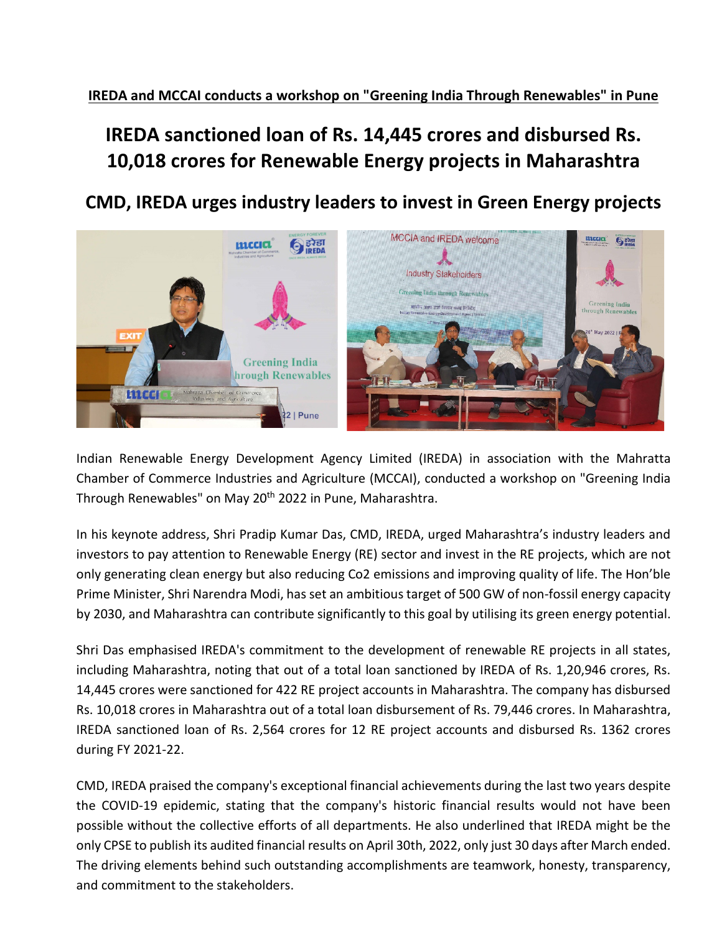**IREDA and MCCAI conducts a workshop on "Greening India Through Renewables" in Pune**

## **IREDA sanctioned loan of Rs. 14,445 crores and disbursed Rs. 10,018 crores for Renewable Energy projects in Maharashtra**

**CMD, IREDA urges industry leaders to invest in Green Energy projects**



Indian Renewable Energy Development Agency Limited (IREDA) in association with the Mahratta Chamber of Commerce Industries and Agriculture (MCCAI), conducted a workshop on "Greening India Through Renewables" on May 20<sup>th</sup> 2022 in Pune, Maharashtra.

In his keynote address, Shri Pradip Kumar Das, CMD, IREDA, urged Maharashtra's industry leaders and investors to pay attention to Renewable Energy (RE) sector and invest in the RE projects, which are not only generating clean energy but also reducing Co2 emissions and improving quality of life. The Hon'ble Prime Minister, Shri Narendra Modi, has set an ambitious target of 500 GW of non-fossil energy capacity by 2030, and Maharashtra can contribute significantly to this goal by utilising its green energy potential.

Shri Das emphasised IREDA's commitment to the development of renewable RE projects in all states, including Maharashtra, noting that out of a total loan sanctioned by IREDA of Rs. 1,20,946 crores, Rs. 14,445 crores were sanctioned for 422 RE project accounts in Maharashtra. The company has disbursed Rs. 10,018 crores in Maharashtra out of a total loan disbursement of Rs. 79,446 crores. In Maharashtra, IREDA sanctioned loan of Rs. 2,564 crores for 12 RE project accounts and disbursed Rs. 1362 crores during FY 2021-22.

CMD, IREDA praised the company's exceptional financial achievements during the last two years despite the COVID-19 epidemic, stating that the company's historic financial results would not have been possible without the collective efforts of all departments. He also underlined that IREDA might be the only CPSE to publish its audited financial results on April 30th, 2022, only just 30 days after March ended. The driving elements behind such outstanding accomplishments are teamwork, honesty, transparency, and commitment to the stakeholders.